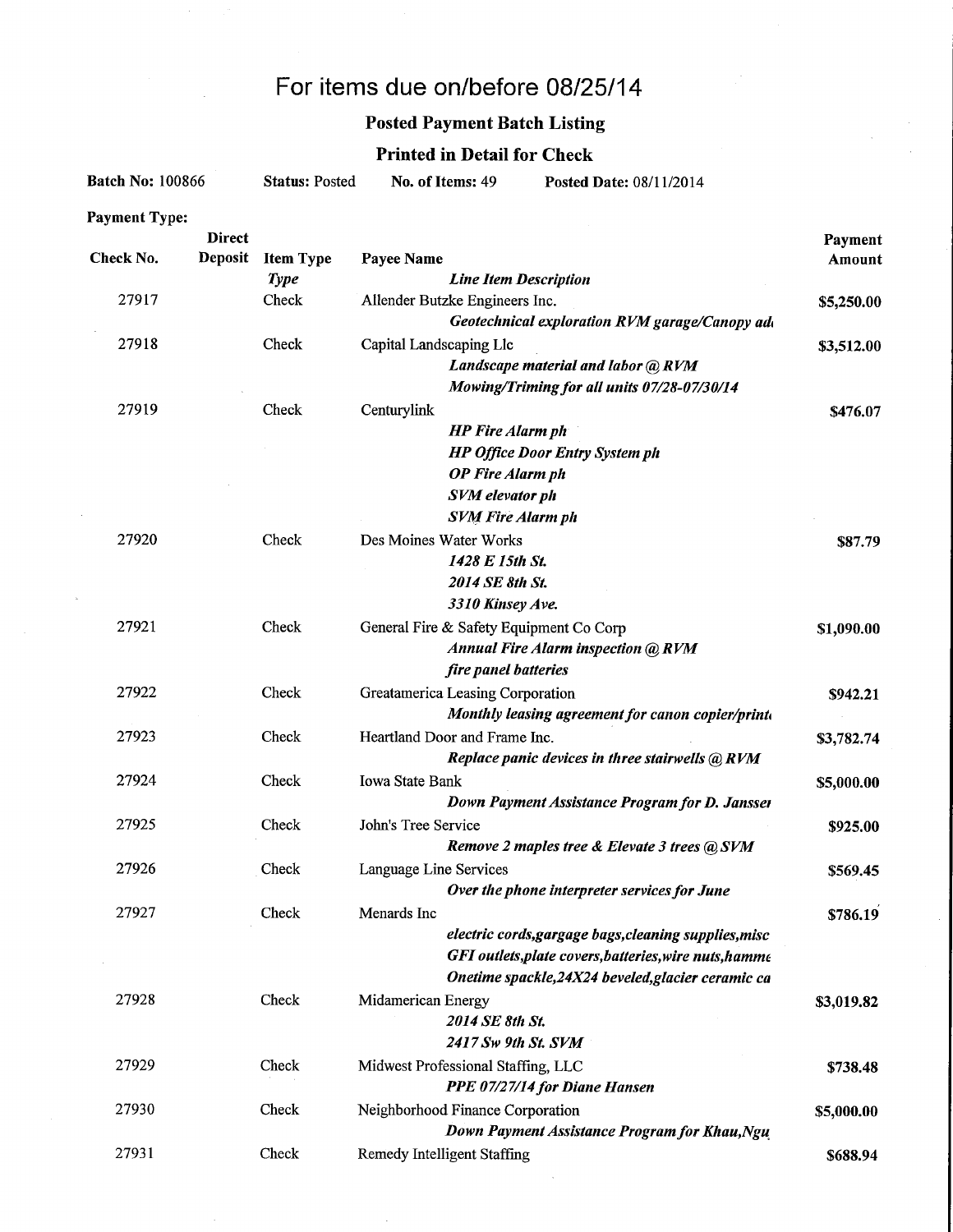# For items due on/before 08/25/14

## Posted Payment Batch Listing

## Printed in Detail for Check

| <b>Batch No: 100866</b> |               | <b>Status: Posted</b> | No. of Items: 49<br>Posted Date: 08/11/2014                    |            |
|-------------------------|---------------|-----------------------|----------------------------------------------------------------|------------|
| <b>Payment Type:</b>    |               |                       |                                                                |            |
|                         | <b>Direct</b> |                       |                                                                | Payment    |
| Check No.               | Deposit       | <b>Item Type</b>      | Payee Name                                                     | Amount     |
| 27917                   |               | <b>Type</b><br>Check  | <b>Line Item Description</b><br>Allender Butzke Engineers Inc. |            |
|                         |               |                       | Geotechnical exploration RVM garage/Canopy add                 | \$5,250.00 |
| 27918                   |               | Check                 | Capital Landscaping Llc                                        |            |
|                         |               |                       | Landscape material and labor @ RVM                             | \$3,512.00 |
|                         |               |                       | Mowing/Triming for all units 07/28-07/30/14                    |            |
| 27919                   |               | Check                 |                                                                |            |
|                         |               |                       | Centurylink<br><b>HP</b> Fire Alarm ph                         | \$476.07   |
|                         |               |                       | <b>HP Office Door Entry System ph</b>                          |            |
|                         |               |                       | <b>OP</b> Fire Alarm ph                                        |            |
|                         |               |                       | <b>SVM</b> elevator ph                                         |            |
|                         |               |                       | <b>SVM Fire Alarm ph</b>                                       |            |
| 27920                   |               | Check                 | Des Moines Water Works                                         | \$87.79    |
|                         |               |                       | 1428 E 15th St.                                                |            |
|                         |               |                       | 2014 SE 8th St.                                                |            |
|                         |               |                       | 3310 Kinsey Ave.                                               |            |
| 27921                   |               | Check                 | General Fire & Safety Equipment Co Corp                        | \$1,090.00 |
|                         |               |                       | <b>Annual Fire Alarm inspection @ RVM</b>                      |            |
|                         |               |                       | fire panel batteries                                           |            |
| 27922                   |               | Check                 | Greatamerica Leasing Corporation                               | \$942.21   |
|                         |               |                       | Monthly leasing agreement for canon copier/print.              |            |
| 27923                   |               | Check                 | Heartland Door and Frame Inc.                                  | \$3,782.74 |
|                         |               |                       | Replace panic devices in three stairwells @ RVM                |            |
| 27924                   |               | Check                 | <b>Iowa State Bank</b>                                         | \$5,000.00 |
|                         |               |                       | Down Payment Assistance Program for D. Jansser                 |            |
| 27925                   |               | Check                 | John's Tree Service                                            | \$925.00   |
|                         |               |                       | Remove 2 maples tree & Elevate 3 trees @ SVM                   |            |
| 27926                   |               | Check                 | Language Line Services                                         | \$569.45   |
|                         |               |                       | Over the phone interpreter services for June                   |            |
| 27927                   |               | Check                 | Menards Inc                                                    | \$786.19   |
|                         |               |                       | electric cords, gargage bags, cleaning supplies, misc          |            |
|                         |               |                       | GFI outlets, plate covers, batteries, wire nuts, hamme         |            |
|                         |               |                       | Onetime spackle, 24X24 beveled, glacier ceramic ca             |            |
| 27928                   |               | Check                 | Midamerican Energy                                             | \$3,019.82 |
|                         |               |                       | 2014 SE 8th St.                                                |            |
|                         |               |                       | 2417 Sw 9th St. SVM                                            |            |
| 27929                   |               | Check                 | Midwest Professional Staffing, LLC                             | \$738.48   |
|                         |               |                       | PPE 07/27/14 for Diane Hansen                                  |            |
| 27930                   |               | Check                 | Neighborhood Finance Corporation                               | \$5,000.00 |
|                         |               |                       | Down Payment Assistance Program for Khau, Ngu                  |            |
| 27931                   |               | Check                 | <b>Remedy Intelligent Staffing</b>                             | \$688.94   |
|                         |               |                       |                                                                |            |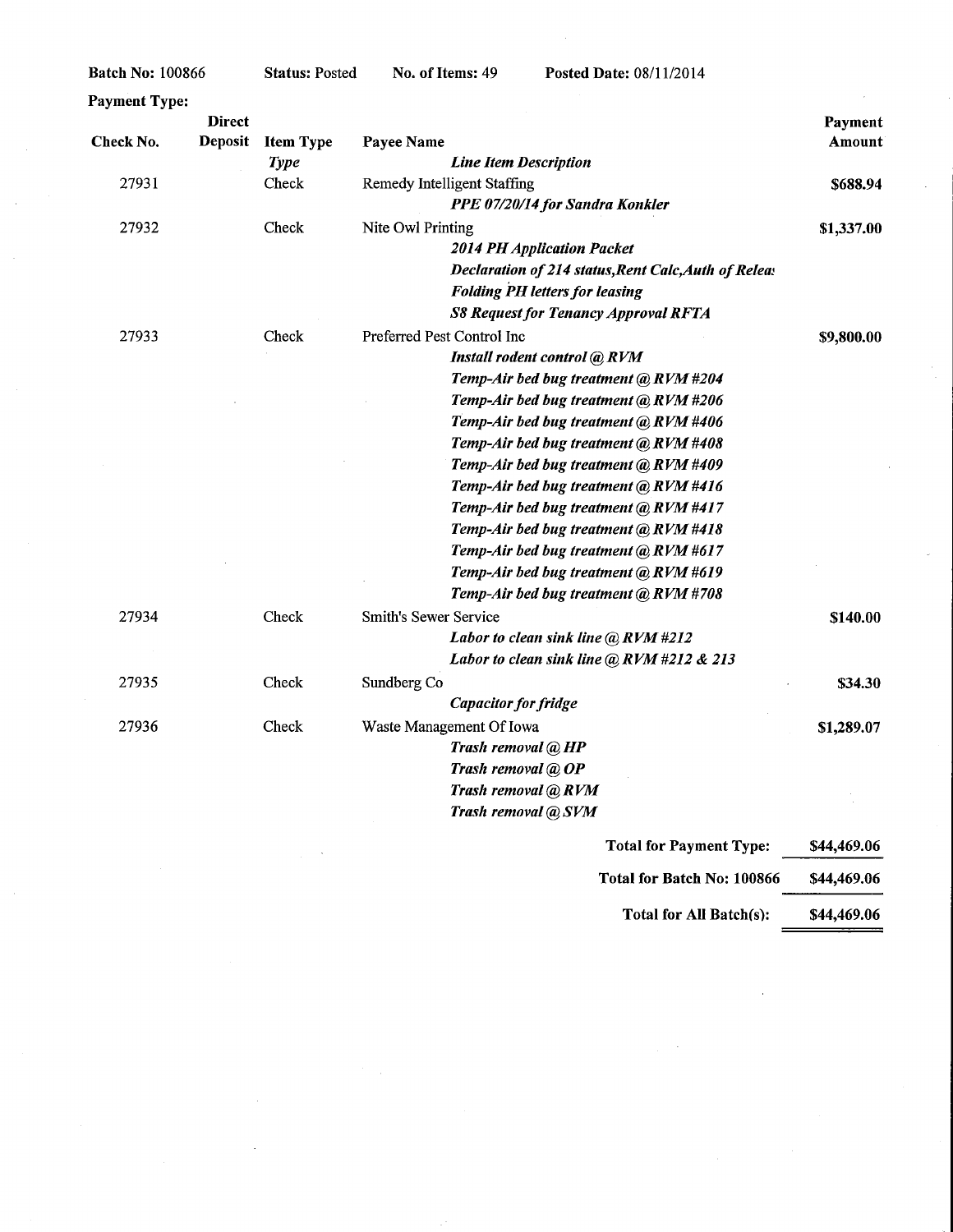| <b>Payment Type:</b> |                |                  |                                    |                                                      |               |
|----------------------|----------------|------------------|------------------------------------|------------------------------------------------------|---------------|
|                      | <b>Direct</b>  |                  |                                    |                                                      | Payment       |
| Check No.            | <b>Deposit</b> | <b>Item Type</b> | Payee Name                         |                                                      | <b>Amount</b> |
|                      |                | <b>Type</b>      |                                    | <b>Line Item Description</b>                         |               |
| 27931                |                | Check            | <b>Remedy Intelligent Staffing</b> |                                                      | \$688.94      |
|                      |                |                  |                                    | PPE 07/20/14 for Sandra Konkler                      |               |
| 27932                |                | Check            | Nite Owl Printing                  |                                                      | \$1,337.00    |
|                      |                |                  |                                    | <b>2014 PH Application Packet</b>                    |               |
|                      |                |                  |                                    | Declaration of 214 status, Rent Calc, Auth of Releas |               |
|                      |                |                  |                                    | <b>Folding PH letters for leasing</b>                |               |
|                      |                |                  |                                    | <b>S8 Request for Tenancy Approval RFTA</b>          |               |
| 27933                |                | Check            | Preferred Pest Control Inc         |                                                      | \$9,800.00    |
|                      |                |                  |                                    | Install rodent control @ RVM                         |               |
|                      |                |                  |                                    | Temp-Air bed bug treatment @ RVM #204                |               |
|                      |                |                  |                                    | Temp-Air bed bug treatment (a) RVM #206              |               |
|                      |                |                  |                                    | Temp-Air bed bug treatment @ RVM #406                |               |
|                      |                |                  |                                    | Temp-Air bed bug treatment @ RVM #408                |               |
|                      |                |                  |                                    | Temp-Air bed bug treatment @ RVM #409                |               |
|                      |                |                  |                                    | Temp-Air bed bug treatment @ RVM #416                |               |
|                      |                |                  |                                    | Temp-Air bed bug treatment @ RVM #417                |               |
|                      |                |                  |                                    | Temp-Air bed bug treatment @ RVM #418                |               |
|                      |                |                  |                                    | Temp-Air bed bug treatment @ RVM #617                |               |
|                      |                |                  |                                    | Temp-Air bed bug treatment @ RVM #619                |               |
|                      |                |                  |                                    | Temp-Air bed bug treatment @ RVM #708                |               |
| 27934                |                | Check            | <b>Smith's Sewer Service</b>       |                                                      | \$140.00      |
|                      |                |                  |                                    | Labor to clean sink line $\omega$ RVM #212           |               |
|                      |                |                  |                                    | Labor to clean sink line @ RVM #212 & 213            |               |
| 27935                |                | Check            | Sundberg Co                        |                                                      | \$34.30       |
|                      |                |                  |                                    | <b>Capacitor</b> for fridge                          |               |
| 27936                |                | Check            | Waste Management Of Iowa           |                                                      | \$1,289.07    |
|                      |                |                  |                                    | Trash removal @ HP                                   |               |
|                      |                |                  |                                    | Trash removal @ OP                                   |               |
|                      |                |                  |                                    | Trash removal @ RVM                                  |               |
|                      |                |                  |                                    | Trash removal @ SVM                                  |               |
|                      |                |                  |                                    |                                                      |               |

| <b>Total for Payment Type:</b> | \$44,469.06 |
|--------------------------------|-------------|
| Total for Batch No: 100866     | \$44,469.06 |
| Total for All Batch(s):        | \$44,469.06 |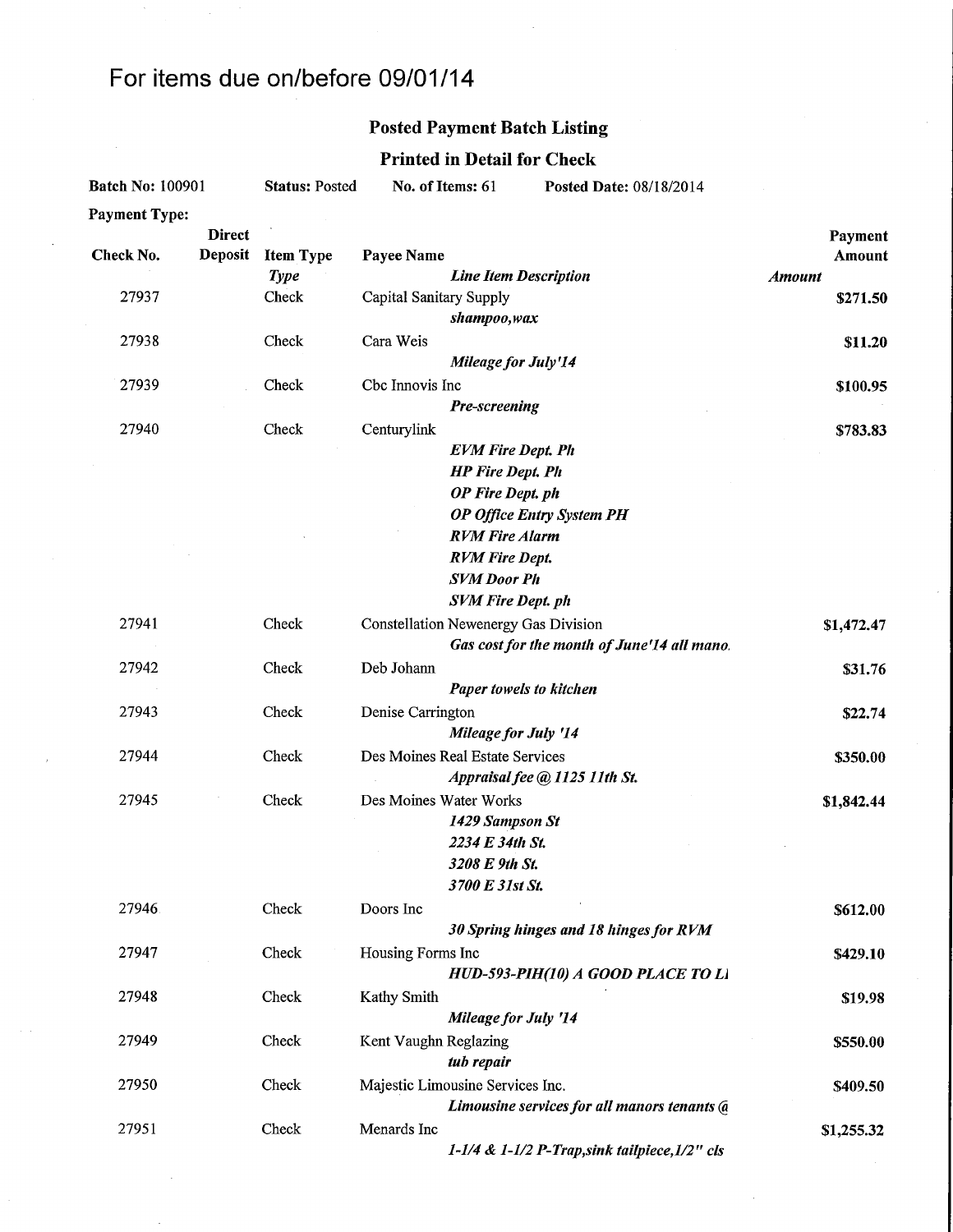# For items due on/before 09/01/14

### Posted Payment Batch Listing

## Printed in Detail for Check

| <b>Direct</b><br>Payment<br><b>Deposit</b><br>Check No.<br><b>Item Type</b><br><b>Payee Name</b><br>Amount<br><b>Type</b><br><b>Line Item Description</b><br><b>Amount</b><br>Check<br>27937<br>Capital Sanitary Supply<br>\$271.50<br>shampoo,wax<br>27938<br>Check<br>Cara Weis<br>\$11.20<br><b>Mileage for July'14</b><br>Cbc Innovis Inc<br>27939<br>Check<br>\$100.95<br>Pre-screening<br>27940<br>Centurylink<br>Check<br>\$783.83<br><b>EVM Fire Dept. Ph</b><br><b>HP</b> Fire Dept. Ph<br>OP Fire Dept. ph<br><b>OP Office Entry System PH</b><br><b>RVM Fire Alarm</b><br><b>RVM Fire Dept.</b><br><b>SVM Door Ph</b><br><b>SVM Fire Dept. ph</b><br>27941<br>Check<br><b>Constellation Newenergy Gas Division</b><br>\$1,472.47<br>Gas cost for the month of June'14 all mano.<br>Deb Johann<br>27942<br>Check<br>\$31.76<br>Paper towels to kitchen<br>27943<br>Check<br>Denise Carrington<br>\$22.74<br>Mileage for July '14<br>27944<br>Check<br>Des Moines Real Estate Services<br>\$350.00<br>Appraisal fee @ 1125 11th St.<br>Des Moines Water Works<br>27945<br>Check<br>\$1,842.44<br>1429 Sampson St<br>2234 E 34th St.<br>3208 E 9th St.<br>3700 E 31st St.<br>Doors Inc<br>27946<br>Check<br>\$612.00<br>30 Spring hinges and 18 hinges for RVM<br>27947<br>Check<br>Housing Forms Inc<br>\$429.10<br>HUD-593-PIH(10) A GOOD PLACE TO LI<br>Check<br>Kathy Smith<br>27948<br>\$19.98<br><b>Mileage for July '14</b><br>27949<br>Check<br>Kent Vaughn Reglazing<br>\$550.00<br>tub repair<br>Check<br>Majestic Limousine Services Inc.<br>27950<br>\$409.50<br>Limousine services for all manors tenants (a<br>Menards Inc<br>27951<br>Check<br>\$1,255.32<br>1-1/4 & 1-1/2 P-Trap, sink tailpiece, $1/2$ " cls | <b>Batch No: 100901</b> |  | <b>Status: Posted</b> | No. of Items: 61<br>Posted Date: 08/18/2014 |  |  |  |
|---------------------------------------------------------------------------------------------------------------------------------------------------------------------------------------------------------------------------------------------------------------------------------------------------------------------------------------------------------------------------------------------------------------------------------------------------------------------------------------------------------------------------------------------------------------------------------------------------------------------------------------------------------------------------------------------------------------------------------------------------------------------------------------------------------------------------------------------------------------------------------------------------------------------------------------------------------------------------------------------------------------------------------------------------------------------------------------------------------------------------------------------------------------------------------------------------------------------------------------------------------------------------------------------------------------------------------------------------------------------------------------------------------------------------------------------------------------------------------------------------------------------------------------------------------------------------------------------------------------------------------------------------------------------------------------------------------------------------------------|-------------------------|--|-----------------------|---------------------------------------------|--|--|--|
|                                                                                                                                                                                                                                                                                                                                                                                                                                                                                                                                                                                                                                                                                                                                                                                                                                                                                                                                                                                                                                                                                                                                                                                                                                                                                                                                                                                                                                                                                                                                                                                                                                                                                                                                       | <b>Payment Type:</b>    |  |                       |                                             |  |  |  |
|                                                                                                                                                                                                                                                                                                                                                                                                                                                                                                                                                                                                                                                                                                                                                                                                                                                                                                                                                                                                                                                                                                                                                                                                                                                                                                                                                                                                                                                                                                                                                                                                                                                                                                                                       |                         |  |                       |                                             |  |  |  |
|                                                                                                                                                                                                                                                                                                                                                                                                                                                                                                                                                                                                                                                                                                                                                                                                                                                                                                                                                                                                                                                                                                                                                                                                                                                                                                                                                                                                                                                                                                                                                                                                                                                                                                                                       |                         |  |                       |                                             |  |  |  |
|                                                                                                                                                                                                                                                                                                                                                                                                                                                                                                                                                                                                                                                                                                                                                                                                                                                                                                                                                                                                                                                                                                                                                                                                                                                                                                                                                                                                                                                                                                                                                                                                                                                                                                                                       |                         |  |                       |                                             |  |  |  |
|                                                                                                                                                                                                                                                                                                                                                                                                                                                                                                                                                                                                                                                                                                                                                                                                                                                                                                                                                                                                                                                                                                                                                                                                                                                                                                                                                                                                                                                                                                                                                                                                                                                                                                                                       |                         |  |                       |                                             |  |  |  |
|                                                                                                                                                                                                                                                                                                                                                                                                                                                                                                                                                                                                                                                                                                                                                                                                                                                                                                                                                                                                                                                                                                                                                                                                                                                                                                                                                                                                                                                                                                                                                                                                                                                                                                                                       |                         |  |                       |                                             |  |  |  |
|                                                                                                                                                                                                                                                                                                                                                                                                                                                                                                                                                                                                                                                                                                                                                                                                                                                                                                                                                                                                                                                                                                                                                                                                                                                                                                                                                                                                                                                                                                                                                                                                                                                                                                                                       |                         |  |                       |                                             |  |  |  |
|                                                                                                                                                                                                                                                                                                                                                                                                                                                                                                                                                                                                                                                                                                                                                                                                                                                                                                                                                                                                                                                                                                                                                                                                                                                                                                                                                                                                                                                                                                                                                                                                                                                                                                                                       |                         |  |                       |                                             |  |  |  |
|                                                                                                                                                                                                                                                                                                                                                                                                                                                                                                                                                                                                                                                                                                                                                                                                                                                                                                                                                                                                                                                                                                                                                                                                                                                                                                                                                                                                                                                                                                                                                                                                                                                                                                                                       |                         |  |                       |                                             |  |  |  |
|                                                                                                                                                                                                                                                                                                                                                                                                                                                                                                                                                                                                                                                                                                                                                                                                                                                                                                                                                                                                                                                                                                                                                                                                                                                                                                                                                                                                                                                                                                                                                                                                                                                                                                                                       |                         |  |                       |                                             |  |  |  |
|                                                                                                                                                                                                                                                                                                                                                                                                                                                                                                                                                                                                                                                                                                                                                                                                                                                                                                                                                                                                                                                                                                                                                                                                                                                                                                                                                                                                                                                                                                                                                                                                                                                                                                                                       |                         |  |                       |                                             |  |  |  |
|                                                                                                                                                                                                                                                                                                                                                                                                                                                                                                                                                                                                                                                                                                                                                                                                                                                                                                                                                                                                                                                                                                                                                                                                                                                                                                                                                                                                                                                                                                                                                                                                                                                                                                                                       |                         |  |                       |                                             |  |  |  |
|                                                                                                                                                                                                                                                                                                                                                                                                                                                                                                                                                                                                                                                                                                                                                                                                                                                                                                                                                                                                                                                                                                                                                                                                                                                                                                                                                                                                                                                                                                                                                                                                                                                                                                                                       |                         |  |                       |                                             |  |  |  |
|                                                                                                                                                                                                                                                                                                                                                                                                                                                                                                                                                                                                                                                                                                                                                                                                                                                                                                                                                                                                                                                                                                                                                                                                                                                                                                                                                                                                                                                                                                                                                                                                                                                                                                                                       |                         |  |                       |                                             |  |  |  |
|                                                                                                                                                                                                                                                                                                                                                                                                                                                                                                                                                                                                                                                                                                                                                                                                                                                                                                                                                                                                                                                                                                                                                                                                                                                                                                                                                                                                                                                                                                                                                                                                                                                                                                                                       |                         |  |                       |                                             |  |  |  |
|                                                                                                                                                                                                                                                                                                                                                                                                                                                                                                                                                                                                                                                                                                                                                                                                                                                                                                                                                                                                                                                                                                                                                                                                                                                                                                                                                                                                                                                                                                                                                                                                                                                                                                                                       |                         |  |                       |                                             |  |  |  |
|                                                                                                                                                                                                                                                                                                                                                                                                                                                                                                                                                                                                                                                                                                                                                                                                                                                                                                                                                                                                                                                                                                                                                                                                                                                                                                                                                                                                                                                                                                                                                                                                                                                                                                                                       |                         |  |                       |                                             |  |  |  |
|                                                                                                                                                                                                                                                                                                                                                                                                                                                                                                                                                                                                                                                                                                                                                                                                                                                                                                                                                                                                                                                                                                                                                                                                                                                                                                                                                                                                                                                                                                                                                                                                                                                                                                                                       |                         |  |                       |                                             |  |  |  |
|                                                                                                                                                                                                                                                                                                                                                                                                                                                                                                                                                                                                                                                                                                                                                                                                                                                                                                                                                                                                                                                                                                                                                                                                                                                                                                                                                                                                                                                                                                                                                                                                                                                                                                                                       |                         |  |                       |                                             |  |  |  |
|                                                                                                                                                                                                                                                                                                                                                                                                                                                                                                                                                                                                                                                                                                                                                                                                                                                                                                                                                                                                                                                                                                                                                                                                                                                                                                                                                                                                                                                                                                                                                                                                                                                                                                                                       |                         |  |                       |                                             |  |  |  |
|                                                                                                                                                                                                                                                                                                                                                                                                                                                                                                                                                                                                                                                                                                                                                                                                                                                                                                                                                                                                                                                                                                                                                                                                                                                                                                                                                                                                                                                                                                                                                                                                                                                                                                                                       |                         |  |                       |                                             |  |  |  |
|                                                                                                                                                                                                                                                                                                                                                                                                                                                                                                                                                                                                                                                                                                                                                                                                                                                                                                                                                                                                                                                                                                                                                                                                                                                                                                                                                                                                                                                                                                                                                                                                                                                                                                                                       |                         |  |                       |                                             |  |  |  |
|                                                                                                                                                                                                                                                                                                                                                                                                                                                                                                                                                                                                                                                                                                                                                                                                                                                                                                                                                                                                                                                                                                                                                                                                                                                                                                                                                                                                                                                                                                                                                                                                                                                                                                                                       |                         |  |                       |                                             |  |  |  |
|                                                                                                                                                                                                                                                                                                                                                                                                                                                                                                                                                                                                                                                                                                                                                                                                                                                                                                                                                                                                                                                                                                                                                                                                                                                                                                                                                                                                                                                                                                                                                                                                                                                                                                                                       |                         |  |                       |                                             |  |  |  |
|                                                                                                                                                                                                                                                                                                                                                                                                                                                                                                                                                                                                                                                                                                                                                                                                                                                                                                                                                                                                                                                                                                                                                                                                                                                                                                                                                                                                                                                                                                                                                                                                                                                                                                                                       |                         |  |                       |                                             |  |  |  |
|                                                                                                                                                                                                                                                                                                                                                                                                                                                                                                                                                                                                                                                                                                                                                                                                                                                                                                                                                                                                                                                                                                                                                                                                                                                                                                                                                                                                                                                                                                                                                                                                                                                                                                                                       |                         |  |                       |                                             |  |  |  |
|                                                                                                                                                                                                                                                                                                                                                                                                                                                                                                                                                                                                                                                                                                                                                                                                                                                                                                                                                                                                                                                                                                                                                                                                                                                                                                                                                                                                                                                                                                                                                                                                                                                                                                                                       |                         |  |                       |                                             |  |  |  |
|                                                                                                                                                                                                                                                                                                                                                                                                                                                                                                                                                                                                                                                                                                                                                                                                                                                                                                                                                                                                                                                                                                                                                                                                                                                                                                                                                                                                                                                                                                                                                                                                                                                                                                                                       |                         |  |                       |                                             |  |  |  |
|                                                                                                                                                                                                                                                                                                                                                                                                                                                                                                                                                                                                                                                                                                                                                                                                                                                                                                                                                                                                                                                                                                                                                                                                                                                                                                                                                                                                                                                                                                                                                                                                                                                                                                                                       |                         |  |                       |                                             |  |  |  |
|                                                                                                                                                                                                                                                                                                                                                                                                                                                                                                                                                                                                                                                                                                                                                                                                                                                                                                                                                                                                                                                                                                                                                                                                                                                                                                                                                                                                                                                                                                                                                                                                                                                                                                                                       |                         |  |                       |                                             |  |  |  |
|                                                                                                                                                                                                                                                                                                                                                                                                                                                                                                                                                                                                                                                                                                                                                                                                                                                                                                                                                                                                                                                                                                                                                                                                                                                                                                                                                                                                                                                                                                                                                                                                                                                                                                                                       |                         |  |                       |                                             |  |  |  |
|                                                                                                                                                                                                                                                                                                                                                                                                                                                                                                                                                                                                                                                                                                                                                                                                                                                                                                                                                                                                                                                                                                                                                                                                                                                                                                                                                                                                                                                                                                                                                                                                                                                                                                                                       |                         |  |                       |                                             |  |  |  |
|                                                                                                                                                                                                                                                                                                                                                                                                                                                                                                                                                                                                                                                                                                                                                                                                                                                                                                                                                                                                                                                                                                                                                                                                                                                                                                                                                                                                                                                                                                                                                                                                                                                                                                                                       |                         |  |                       |                                             |  |  |  |
|                                                                                                                                                                                                                                                                                                                                                                                                                                                                                                                                                                                                                                                                                                                                                                                                                                                                                                                                                                                                                                                                                                                                                                                                                                                                                                                                                                                                                                                                                                                                                                                                                                                                                                                                       |                         |  |                       |                                             |  |  |  |
|                                                                                                                                                                                                                                                                                                                                                                                                                                                                                                                                                                                                                                                                                                                                                                                                                                                                                                                                                                                                                                                                                                                                                                                                                                                                                                                                                                                                                                                                                                                                                                                                                                                                                                                                       |                         |  |                       |                                             |  |  |  |
|                                                                                                                                                                                                                                                                                                                                                                                                                                                                                                                                                                                                                                                                                                                                                                                                                                                                                                                                                                                                                                                                                                                                                                                                                                                                                                                                                                                                                                                                                                                                                                                                                                                                                                                                       |                         |  |                       |                                             |  |  |  |
|                                                                                                                                                                                                                                                                                                                                                                                                                                                                                                                                                                                                                                                                                                                                                                                                                                                                                                                                                                                                                                                                                                                                                                                                                                                                                                                                                                                                                                                                                                                                                                                                                                                                                                                                       |                         |  |                       |                                             |  |  |  |
|                                                                                                                                                                                                                                                                                                                                                                                                                                                                                                                                                                                                                                                                                                                                                                                                                                                                                                                                                                                                                                                                                                                                                                                                                                                                                                                                                                                                                                                                                                                                                                                                                                                                                                                                       |                         |  |                       |                                             |  |  |  |
|                                                                                                                                                                                                                                                                                                                                                                                                                                                                                                                                                                                                                                                                                                                                                                                                                                                                                                                                                                                                                                                                                                                                                                                                                                                                                                                                                                                                                                                                                                                                                                                                                                                                                                                                       |                         |  |                       |                                             |  |  |  |
|                                                                                                                                                                                                                                                                                                                                                                                                                                                                                                                                                                                                                                                                                                                                                                                                                                                                                                                                                                                                                                                                                                                                                                                                                                                                                                                                                                                                                                                                                                                                                                                                                                                                                                                                       |                         |  |                       |                                             |  |  |  |
|                                                                                                                                                                                                                                                                                                                                                                                                                                                                                                                                                                                                                                                                                                                                                                                                                                                                                                                                                                                                                                                                                                                                                                                                                                                                                                                                                                                                                                                                                                                                                                                                                                                                                                                                       |                         |  |                       |                                             |  |  |  |
|                                                                                                                                                                                                                                                                                                                                                                                                                                                                                                                                                                                                                                                                                                                                                                                                                                                                                                                                                                                                                                                                                                                                                                                                                                                                                                                                                                                                                                                                                                                                                                                                                                                                                                                                       |                         |  |                       |                                             |  |  |  |
|                                                                                                                                                                                                                                                                                                                                                                                                                                                                                                                                                                                                                                                                                                                                                                                                                                                                                                                                                                                                                                                                                                                                                                                                                                                                                                                                                                                                                                                                                                                                                                                                                                                                                                                                       |                         |  |                       |                                             |  |  |  |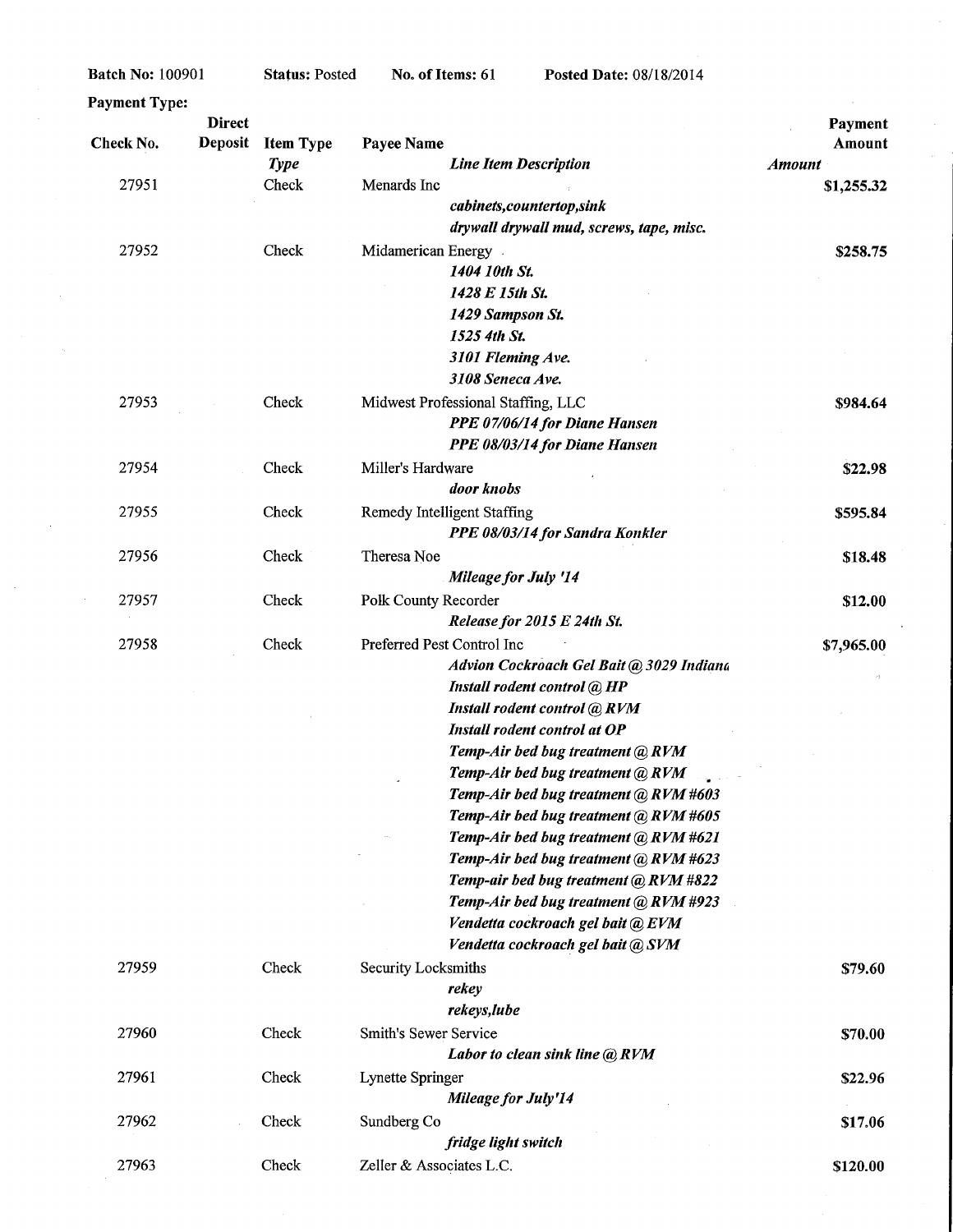$\sim$ 

Status: Posted

 $\hat{\mathcal{A}}$ 

| <b>Payment Type:</b> |                |                  |                                          |               |
|----------------------|----------------|------------------|------------------------------------------|---------------|
|                      | <b>Direct</b>  |                  |                                          | Payment       |
| Check No.            | <b>Deposit</b> | <b>Item Type</b> | Payee Name                               | Amount        |
|                      |                | <b>Type</b>      | <b>Line Item Description</b>             | <b>Amount</b> |
| 27951                |                | Check            | Menards Inc                              | \$1,255.32    |
|                      |                |                  | cabinets,countertop,sink                 |               |
|                      |                |                  | drywall drywall mud, screws, tape, misc. |               |
| 27952                |                | Check            | Midamerican Energy                       | \$258.75      |
|                      |                |                  | 1404 10th St.                            |               |
|                      |                |                  | 1428 E 15th St.                          |               |
|                      |                |                  | 1429 Sampson St.                         |               |
|                      |                |                  | 1525 4th St.                             |               |
|                      |                |                  | 3101 Fleming Ave.                        |               |
|                      |                |                  | 3108 Seneca Ave.                         |               |
| 27953                |                | Check            | Midwest Professional Staffing, LLC       | \$984.64      |
|                      |                |                  | PPE 07/06/14 for Diane Hansen            |               |
|                      |                |                  | PPE 08/03/14 for Diane Hansen            |               |
| 27954                |                | Check            | Miller's Hardware                        | \$22.98       |
|                      |                |                  | door knobs                               |               |
| 27955                |                | Check            | Remedy Intelligent Staffing              | \$595.84      |
|                      |                |                  | PPE 08/03/14 for Sandra Konkler          |               |
| 27956                |                | Check            |                                          |               |
|                      |                |                  | Theresa Noe                              | \$18.48       |
|                      |                |                  | <b>Mileage for July '14</b>              |               |
| 27957                |                | Check            | Polk County Recorder                     | \$12.00       |
|                      |                |                  | Release for 2015 E 24th St.              |               |
| 27958                |                | Check            | Preferred Pest Control Inc               | \$7,965.00    |
|                      |                |                  | Advion Cockroach Gel Bait @ 3029 Indiana |               |
|                      |                |                  | Install rodent control @ HP              |               |
|                      |                |                  | Install rodent control @ RVM             |               |
|                      |                |                  | Install rodent control at OP             |               |
|                      |                |                  | Temp-Air bed bug treatment @ RVM         |               |
|                      |                |                  | Temp-Air bed bug treatment @ RVM         |               |
|                      |                |                  | Temp-Air bed bug treatment @ RVM #603    |               |
|                      |                |                  | Temp-Air bed bug treatment @ RVM #605    |               |
|                      |                |                  | Temp-Air bed bug treatment @ RVM #621    |               |
|                      |                |                  | Temp-Air bed bug treatment @ RVM #623    |               |
|                      |                |                  | Temp-air bed bug treatment (a) RVM #822  |               |
|                      |                |                  | Temp-Air bed bug treatment @ RVM #923    |               |
|                      |                |                  | Vendetta cockroach gel bait @ EVM        |               |
|                      |                |                  | Vendetta cockroach gel bait @ SVM        |               |
| 27959                |                | Check            | Security Locksmiths                      | \$79.60       |
|                      |                |                  | rekey                                    |               |
|                      |                |                  | rekeys, lube                             |               |
| 27960                |                | Check            | Smith's Sewer Service                    | \$70.00       |
|                      |                |                  | Labor to clean sink line @ RVM           |               |
| 27961                |                | Check            | Lynette Springer                         | \$22.96       |
|                      |                |                  | Mileage for July'14                      |               |
| 27962                |                | Check            | Sundberg Co                              | \$17.06       |
|                      |                |                  | fridge light switch                      |               |
| 27963                |                | Check            | Zeller & Associates L.C.                 |               |
|                      |                |                  |                                          | \$120.00      |